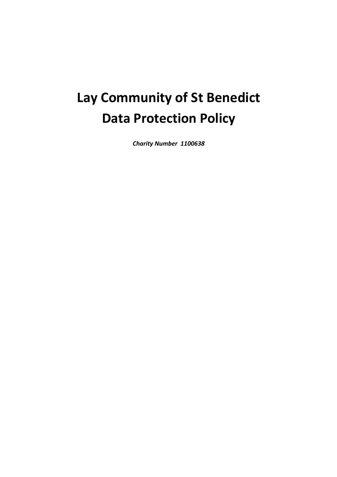# **Lay Community of St Benedict Data Protection Policy**

*Charity Number 1100638*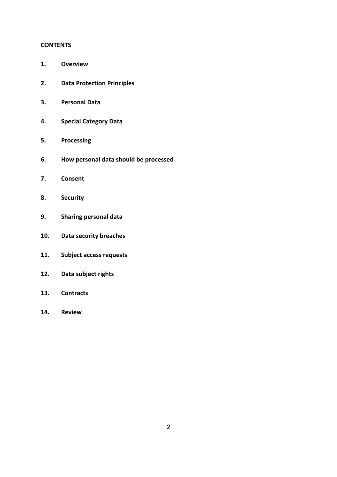#### **CONTENTS**

- **1. Overview**
- **2. Data Protection Principles**
- **3. Personal Data**
- **4. Special Category Data**
- **5. Processing**
- **6. How personal data should be processed**
- **7. Consent**
- **8. Security**
- **9. Sharing personal data**
- **10. Data security breaches**
- **11. Subject access requests**
- **12. Data subject rights**
- **13. Contracts**
- **14. Review**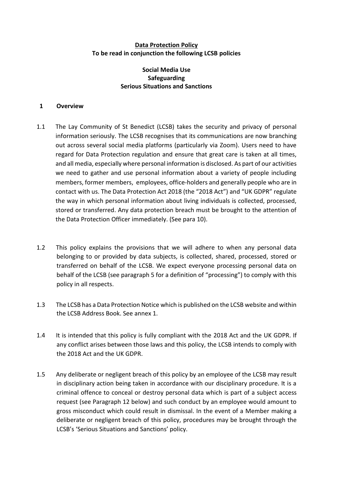## **Data Protection Policy To be read in conjunction the following LCSB policies**

# **Social Media Use Safeguarding Serious Situations and Sanctions**

#### **1 Overview**

- 1.1 The Lay Community of St Benedict (LCSB) takes the security and privacy of personal information seriously. The LCSB recognises that its communications are now branching out across several social media platforms (particularly via Zoom). Users need to have regard for Data Protection regulation and ensure that great care is taken at all times, and all media, especially where personal information is disclosed. As part of our activities we need to gather and use personal information about a variety of people including members, former members, employees, office-holders and generally people who are in contact with us. The Data Protection Act 2018 (the "2018 Act") and "UK GDPR" regulate the way in which personal information about living individuals is collected, processed, stored or transferred. Any data protection breach must be brought to the attention of the Data Protection Officer immediately. (See para 10).
- 1.2 This policy explains the provisions that we will adhere to when any personal data belonging to or provided by data subjects, is collected, shared, processed, stored or transferred on behalf of the LCSB. We expect everyone processing personal data on behalf of the LCSB (see paragraph 5 for a definition of "processing") to comply with this policy in all respects.
- 1.3 The LCSB has a Data Protection Notice which is published on the LCSB website and within the LCSB Address Book. See annex 1.
- 1.4 It is intended that this policy is fully compliant with the 2018 Act and the UK GDPR. If any conflict arises between those laws and this policy, the LCSB intends to comply with the 2018 Act and the UK GDPR.
- 1.5 Any deliberate or negligent breach of this policy by an employee of the LCSB may result in disciplinary action being taken in accordance with our disciplinary procedure. It is a criminal offence to conceal or destroy personal data which is part of a subject access request (see Paragraph 12 below) and such conduct by an employee would amount to gross misconduct which could result in dismissal. In the event of a Member making a deliberate or negligent breach of this policy, procedures may be brought through the LCSB's 'Serious Situations and Sanctions' policy.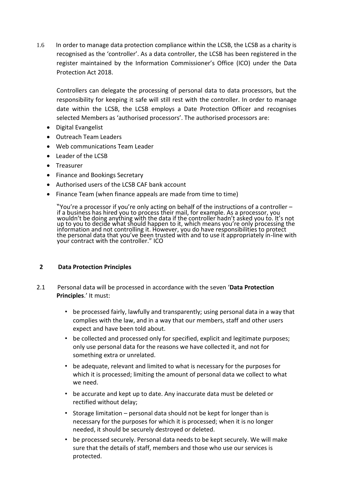1.6 In order to manage data protection compliance within the LCSB, the LCSB as a charity is recognised as the 'controller'. As a data controller, the LCSB has been registered in the register maintained by the Information Commissioner's Office (ICO) under the Data Protection Act 2018.

 Controllers can delegate the processing of personal data to data processors, but the responsibility for keeping it safe will still rest with the controller. In order to manage date within the LCSB, the LCSB employs a Date Protection Officer and recognises selected Members as 'authorised processors'. The authorised processors are:

- Digital Evangelist
- Outreach Team Leaders
- Web communications Team Leader
- Leader of the LCSB
- Treasurer
- Finance and Bookings Secretary
- Authorised users of the LCSB CAF bank account
- Finance Team (when finance appeals are made from time to time)

"You're a processor if you're only acting on behalf of the instructions of a controller – if a business has hired you to process their mail, for example. As a processor, you wouldn't be doing anything with the data if the controller hadn't asked you to. It's not up to you to decide what should happen to it, which means you're only processing the information and not controlling it. However, you do have responsibilities to protect the personal data that you've been trusted with and to use it appropriately in-line with your contract with the controller." ICO

## **2 Data Protection Principles**

- 2.1 Personal data will be processed in accordance with the seven '**Data Protection Principles**.' It must:
	- be processed fairly, lawfully and transparently; using personal data in a way that complies with the law, and in a way that our members, staff and other users expect and have been told about.
	- be collected and processed only for specified, explicit and legitimate purposes; only use personal data for the reasons we have collected it, and not for something extra or unrelated.
	- be adequate, relevant and limited to what is necessary for the purposes for which it is processed; limiting the amount of personal data we collect to what we need.
	- be accurate and kept up to date. Any inaccurate data must be deleted or rectified without delay;
	- Storage limitation personal data should not be kept for longer than is necessary for the purposes for which it is processed; when it is no longer needed, it should be securely destroyed or deleted.
	- be processed securely. Personal data needs to be kept securely. We will make sure that the details of staff, members and those who use our services is protected.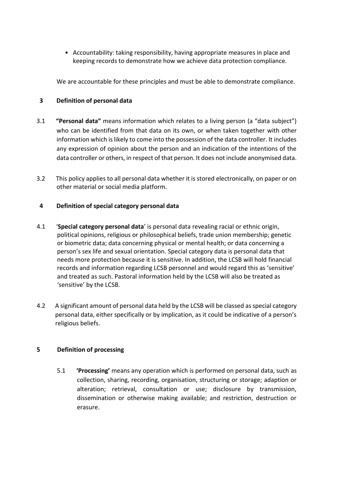• Accountability: taking responsibility, having appropriate measures in place and keeping records to demonstrate how we achieve data protection compliance.

We are accountable for these principles and must be able to demonstrate compliance.

## **3 Definition of personal data**

- 3.1 **"Personal data"** means information which relates to a living person (a "data subject") who can be identified from that data on its own, or when taken together with other information which is likely to come into the possession of the data controller. It includes any expression of opinion about the person and an indication of the intentions of the data controller or others, in respect of that person. It does not include anonymised data.
- 3.2 This policy applies to all personal data whether it is stored electronically, on paper or on other material or social media platform.

## **4 Definition of special category personal data**

- 4.1 '**Special category personal data**' is personal data revealing racial or ethnic origin, political opinions, religious or philosophical beliefs, trade union membership; genetic or biometric data; data concerning physical or mental health; or data concerning a person's sex life and sexual orientation. Special category data is personal data that needs more protection because it is sensitive. In addition, the LCSB will hold financial records and information regarding LCSB personnel and would regard this as 'sensitive' and treated as such. Pastoral information held by the LCSB will also be treated as 'sensitive' by the LCSB.
- 4.2 A significant amount of personal data held by the LCSB will be classed as special category . personal data, either specifically or by implication, as it could be indicative of a person's . religious beliefs.

## **5 Definition of processing**

5.1 **'Processing'** means any operation which is performed on personal data, such as collection, sharing, recording, organisation, structuring or storage; adaption or alteration; retrieval, consultation or use; disclosure by transmission, dissemination or otherwise making available; and restriction, destruction or erasure.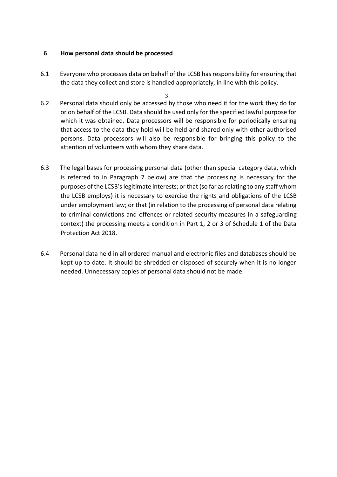## **6 How personal data should be processed**

- 6.1 Everyone who processes data on behalf of the LCSB has responsibility for ensuring that the data they collect and store is handled appropriately, in line with this policy.
- 3 6.2 Personal data should only be accessed by those who need it for the work they do for or on behalf of the LCSB. Data should be used only for the specified lawful purpose for which it was obtained. Data processors will be responsible for periodically ensuring that access to the data they hold will be held and shared only with other authorised persons. Data processors will also be responsible for bringing this policy to the attention of volunteers with whom they share data.
- 6.3 The legal bases for processing personal data (other than special category data, which is referred to in Paragraph 7 below) are that the processing is necessary for the purposes of the LCSB'slegitimate interests; or that (so far as relating to any staff whom the LCSB employs) it is necessary to exercise the rights and obligations of the LCSB under employment law; or that (in relation to the processing of personal data relating to criminal convictions and offences or related security measures in a safeguarding context) the processing meets a condition in Part 1, 2 or 3 of Schedule 1 of the Data Protection Act 2018.
- 6.4 Personal data held in all ordered manual and electronic files and databases should be kept up to date. It should be shredded or disposed of securely when it is no longer needed. Unnecessary copies of personal data should not be made.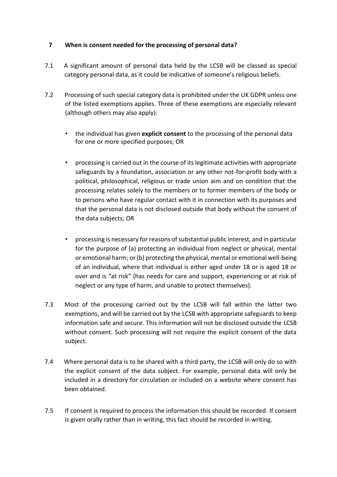# **7 When is consent needed for the processing of personal data?**

- 7.1 A significant amount of personal data held by the LCSB will be classed as special category personal data, as it could be indicative of someone's religious beliefs.
- 7.2 Processing of such special category data is prohibited under the UK GDPR unless one of the listed exemptions applies. Three of these exemptions are especially relevant (although others may also apply):
	- the individual has given **explicit consent** to the processing of the personal data for one or more specified purposes; OR
	- processing is carried out in the course of its legitimate activities with appropriate safeguards by a foundation, association or any other not-for-profit body with a political, philosophical, religious or trade union aim and on condition that the processing relates solely to the members or to former members of the body or to persons who have regular contact with it in connection with its purposes and that the personal data is not disclosed outside that body without the consent of the data subjects; OR
	- processing is necessary for reasons of substantial public interest, and in particular for the purpose of (a) protecting an individual from neglect or physical, mental or emotional harm; or (b) protecting the physical, mental or emotional well-being of an individual, where that individual is either aged under 18 or is aged 18 or over and is "at risk" (has needs for care and support, experiencing or at risk of neglect or any type of harm, and unable to protect themselves).
- 7.3 Most of the processing carried out by the LCSB will fall within the latter two exemptions, and will be carried out by the LCSB with appropriate safeguards to keep information safe and secure. This information will not be disclosed outside the LCSB without consent. Such processing will not require the explicit consent of the data subject.
- 7.4 Where personal data is to be shared with a third party, the LCSB will only do so with the explicit consent of the data subject. For example, personal data will only be included in a directory for circulation or included on a website where consent has been obtained.
- 7.5 If consent is required to process the information this should be recorded. If consent is given orally rather than in writing, this fact should be recorded in writing.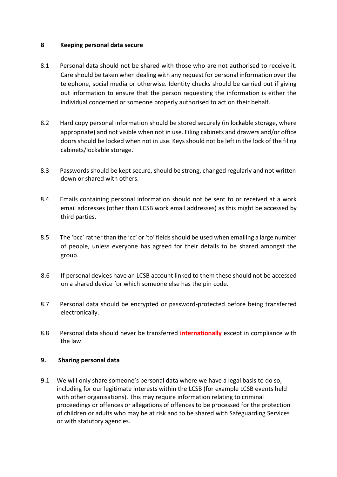## **8 Keeping personal data secure**

- 8.1 Personal data should not be shared with those who are not authorised to receive it. Care should be taken when dealing with any request for personal information over the telephone, social media or otherwise. Identity checks should be carried out if giving out information to ensure that the person requesting the information is either the individual concerned or someone properly authorised to act on their behalf.
- 8.2 Hard copy personal information should be stored securely (in lockable storage, where appropriate) and not visible when not in use. Filing cabinets and drawers and/or office doors should be locked when not in use. Keys should not be left in the lock of the filing cabinets/lockable storage.
- 8.3 Passwords should be kept secure, should be strong, changed regularly and not written down or shared with others.
- 8.4 Emails containing personal information should not be sent to or received at a work email addresses (other than LCSB work email addresses) as this might be accessed by third parties.
- 8.5 The 'bcc' rather than the 'cc' or 'to' fields should be used when emailing a large number of people, unless everyone has agreed for their details to be shared amongst the group.
- 8.6 If personal devices have an LCSB account linked to them these should not be accessed . on a shared device for which someone else has the pin code.
- 8.7 Personal data should be encrypted or password-protected before being transferred electronically.
- 8.8 Personal data should never be transferred **internationally** except in compliance with the law.

## **9. Sharing personal data**

9.1 We will only share someone's personal data where we have a legal basis to do so, including for our legitimate interests within the LCSB (for example LCSB events held with other organisations). This may require information relating to criminal proceedings or offences or allegations of offences to be processed for the protection of children or adults who may be at risk and to be shared with Safeguarding Services or with statutory agencies.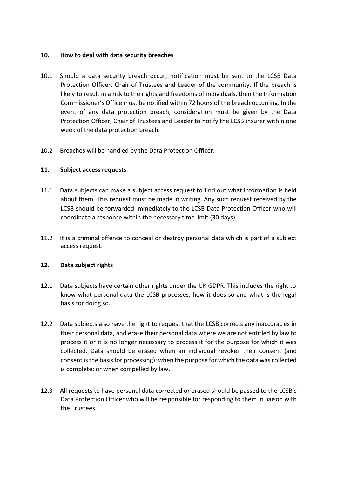## **10. How to deal with data security breaches**

- 10.1 Should a data security breach occur, notification must be sent to the LCSB Data Protection Officer, Chair of Trustees and Leader of the community. If the breach is likely to result in a risk to the rights and freedoms of individuals, then the Information Commissioner's Office must be notified within 72 hours of the breach occurring. In the event of any data protection breach, consideration must be given by the Data Protection Officer, Chair of Trustees and Leader to notify the LCSB insurer within one week of the data protection breach.
- 10.2 Breaches will be handled by the Data Protection Officer.

## **11. Subject access requests**

- 11.1 Data subjects can make a subject access request to find out what information is held about them. This request must be made in writing. Any such request received by the LCSB should be forwarded immediately to the LCSB Data Protection Officer who will coordinate a response within the necessary time limit (30 days).
- 11.2 It is a criminal offence to conceal or destroy personal data which is part of a subject access request.

#### **12. Data subject rights**

- 12.1 Data subjects have certain other rights under the UK GDPR. This includes the right to know what personal data the LCSB processes, how it does so and what is the legal basis for doing so.
- 12.2 Data subjects also have the right to request that the LCSB corrects any inaccuracies in their personal data, and erase their personal data where we are not entitled by law to process it or it is no longer necessary to process it for the purpose for which it was collected. Data should be erased when an individual revokes their consent (and consent is the basis for processing); when the purpose for which the data was collected is complete; or when compelled by law.
- 12.3 All requests to have personal data corrected or erased should be passed to the LCSB's Data Protection Officer who will be responsible for responding to them in liaison with the Trustees.